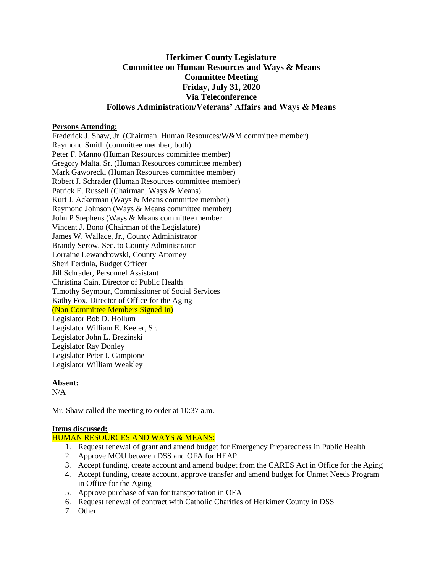# **Herkimer County Legislature Committee on Human Resources and Ways & Means Committee Meeting Friday, July 31, 2020 Via Teleconference Follows Administration/Veterans' Affairs and Ways & Means**

### **Persons Attending:**

Frederick J. Shaw, Jr. (Chairman, Human Resources/W&M committee member) Raymond Smith (committee member, both) Peter F. Manno (Human Resources committee member) Gregory Malta, Sr. (Human Resources committee member) Mark Gaworecki (Human Resources committee member) Robert J. Schrader (Human Resources committee member) Patrick E. Russell (Chairman, Ways & Means) Kurt J. Ackerman (Ways & Means committee member) Raymond Johnson (Ways & Means committee member) John P Stephens (Ways & Means committee member Vincent J. Bono (Chairman of the Legislature) James W. Wallace, Jr., County Administrator Brandy Serow, Sec. to County Administrator Lorraine Lewandrowski, County Attorney Sheri Ferdula, Budget Officer Jill Schrader, Personnel Assistant Christina Cain, Director of Public Health Timothy Seymour, Commissioner of Social Services Kathy Fox, Director of Office for the Aging (Non Committee Members Signed In) Legislator Bob D. Hollum Legislator William E. Keeler, Sr. Legislator John L. Brezinski Legislator Ray Donley Legislator Peter J. Campione Legislator William Weakley

# **Absent:**

 $N/A$ 

Mr. Shaw called the meeting to order at 10:37 a.m.

# **Items discussed:**

# HUMAN RESOURCES AND WAYS & MEANS:

- 1. Request renewal of grant and amend budget for Emergency Preparedness in Public Health
- 2. Approve MOU between DSS and OFA for HEAP
- 3. Accept funding, create account and amend budget from the CARES Act in Office for the Aging
- 4. Accept funding, create account, approve transfer and amend budget for Unmet Needs Program in Office for the Aging
- 5. Approve purchase of van for transportation in OFA
- 6. Request renewal of contract with Catholic Charities of Herkimer County in DSS
- 7. Other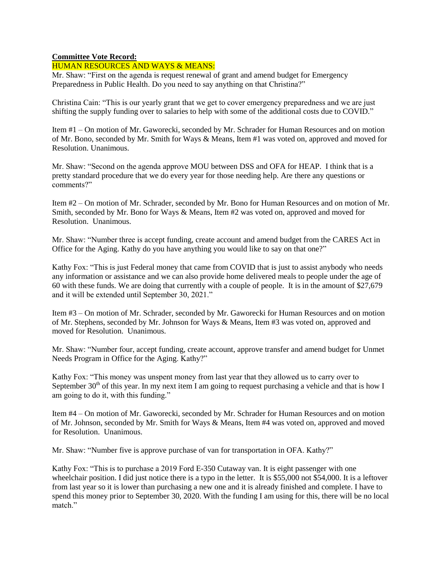### **Committee Vote Record:**

### HUMAN RESOURCES AND WAYS & MEANS:

Mr. Shaw: "First on the agenda is request renewal of grant and amend budget for Emergency Preparedness in Public Health. Do you need to say anything on that Christina?"

Christina Cain: "This is our yearly grant that we get to cover emergency preparedness and we are just shifting the supply funding over to salaries to help with some of the additional costs due to COVID."

Item #1 – On motion of Mr. Gaworecki, seconded by Mr. Schrader for Human Resources and on motion of Mr. Bono, seconded by Mr. Smith for Ways & Means, Item #1 was voted on, approved and moved for Resolution. Unanimous.

Mr. Shaw: "Second on the agenda approve MOU between DSS and OFA for HEAP. I think that is a pretty standard procedure that we do every year for those needing help. Are there any questions or comments?"

Item #2 – On motion of Mr. Schrader, seconded by Mr. Bono for Human Resources and on motion of Mr. Smith, seconded by Mr. Bono for Ways & Means, Item #2 was voted on, approved and moved for Resolution. Unanimous.

Mr. Shaw: "Number three is accept funding, create account and amend budget from the CARES Act in Office for the Aging. Kathy do you have anything you would like to say on that one?"

Kathy Fox: "This is just Federal money that came from COVID that is just to assist anybody who needs any information or assistance and we can also provide home delivered meals to people under the age of 60 with these funds. We are doing that currently with a couple of people. It is in the amount of \$27,679 and it will be extended until September 30, 2021."

Item #3 – On motion of Mr. Schrader, seconded by Mr. Gaworecki for Human Resources and on motion of Mr. Stephens, seconded by Mr. Johnson for Ways & Means, Item #3 was voted on, approved and moved for Resolution. Unanimous.

Mr. Shaw: "Number four, accept funding, create account, approve transfer and amend budget for Unmet Needs Program in Office for the Aging. Kathy?"

Kathy Fox: "This money was unspent money from last year that they allowed us to carry over to September  $30<sup>th</sup>$  of this year. In my next item I am going to request purchasing a vehicle and that is how I am going to do it, with this funding."

Item #4 – On motion of Mr. Gaworecki, seconded by Mr. Schrader for Human Resources and on motion of Mr. Johnson, seconded by Mr. Smith for Ways & Means, Item #4 was voted on, approved and moved for Resolution. Unanimous.

Mr. Shaw: "Number five is approve purchase of van for transportation in OFA. Kathy?"

Kathy Fox: "This is to purchase a 2019 Ford E-350 Cutaway van. It is eight passenger with one wheelchair position. I did just notice there is a typo in the letter. It is \$55,000 not \$54,000. It is a leftover from last year so it is lower than purchasing a new one and it is already finished and complete. I have to spend this money prior to September 30, 2020. With the funding I am using for this, there will be no local match."